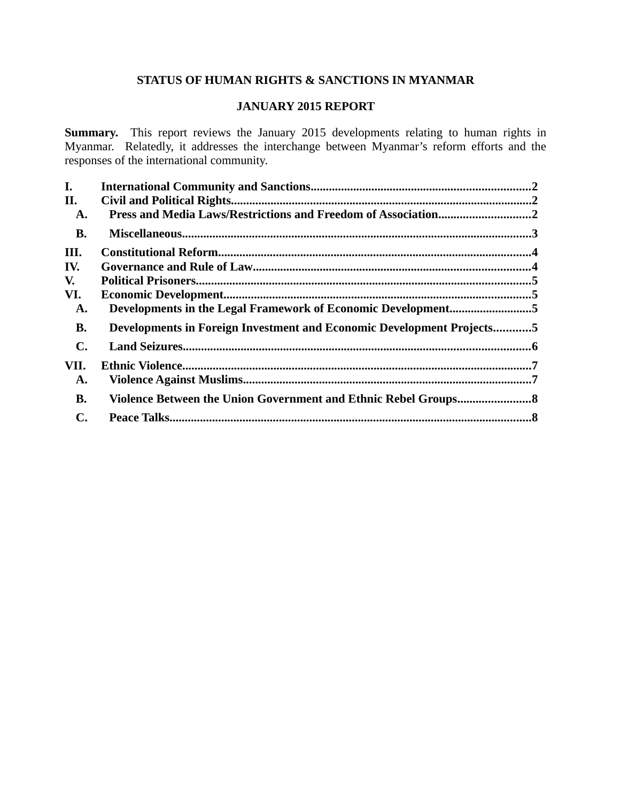# **STATUS OF HUMAN RIGHTS & SANCTIONS IN MYANMAR**

# **JANUARY 2015 REPORT**

**Summary.** This report reviews the January 2015 developments relating to human rights in Myanmar. Relatedly, it addresses the interchange between Myanmar's reform efforts and the responses of the international community.

| I.             |                                                                       |  |
|----------------|-----------------------------------------------------------------------|--|
| II.            |                                                                       |  |
| A.             | Press and Media Laws/Restrictions and Freedom of Association2         |  |
| <b>B.</b>      |                                                                       |  |
| III.           |                                                                       |  |
| IV.            |                                                                       |  |
| V.             |                                                                       |  |
| VI.            |                                                                       |  |
| A.             | Developments in the Legal Framework of Economic Development5          |  |
| <b>B.</b>      | Developments in Foreign Investment and Economic Development Projects5 |  |
| $\mathbf{C}$ . |                                                                       |  |
| VII.           |                                                                       |  |
| A.             |                                                                       |  |
| <b>B.</b>      |                                                                       |  |
| $\mathbf{C}$ . |                                                                       |  |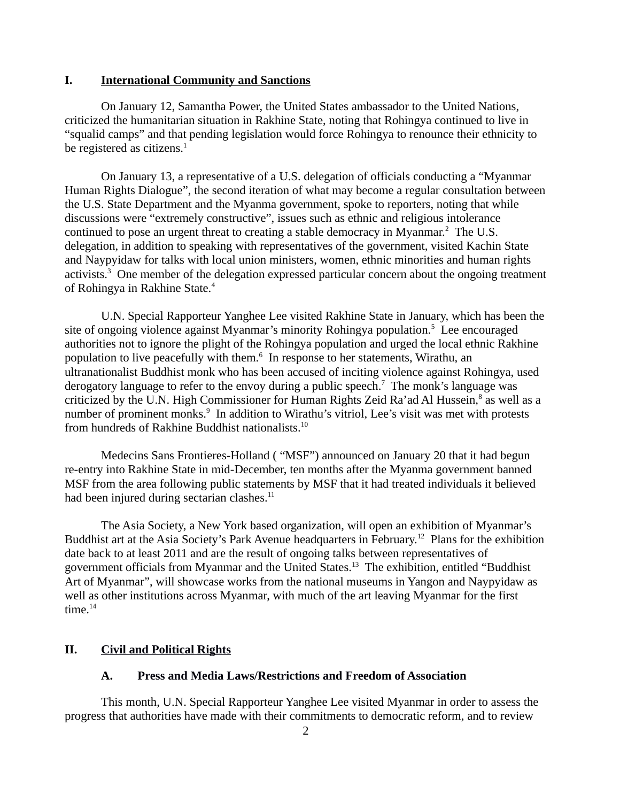### <span id="page-1-0"></span>**I. International Community and Sanctions**

On January 12, Samantha Power, the United States ambassador to the United Nations, criticized the humanitarian situation in Rakhine State, noting that Rohingya continued to live in "squalid camps" and that pending legislation would force Rohingya to renounce their ethnicity to be registered as citizens. $<sup>1</sup>$ </sup>

On January 13, a representative of a U.S. delegation of officials conducting a "Myanmar Human Rights Dialogue", the second iteration of what may become a regular consultation between the U.S. State Department and the Myanma government, spoke to reporters, noting that while discussions were "extremely constructive", issues such as ethnic and religious intolerance continued to pose an urgent threat to creating a stable democracy in Myanmar. $^2$  The U.S. delegation, in addition to speaking with representatives of the government, visited Kachin State and Naypyidaw for talks with local union ministers, women, ethnic minorities and human rights activists.<sup>3</sup> One member of the delegation expressed particular concern about the ongoing treatment of Rohingya in Rakhine State.<sup>4</sup>

U.N. Special Rapporteur Yanghee Lee visited Rakhine State in January, which has been the site of ongoing violence against Myanmar's minority Rohingya population.<sup>5</sup> Lee encouraged authorities not to ignore the plight of the Rohingya population and urged the local ethnic Rakhine population to live peacefully with them.<sup>6</sup> In response to her statements, Wirathu, an ultranationalist Buddhist monk who has been accused of inciting violence against Rohingya, used derogatory language to refer to the envoy during a public speech.<sup>7</sup> The monk's language was criticized by the U.N. High Commissioner for Human Rights Zeid Ra'ad Al Hussein,<sup>8</sup> as well as a number of prominent monks.<sup>9</sup> In addition to Wirathu's vitriol, Lee's visit was met with protests from hundreds of Rakhine Buddhist nationalists.<sup>10</sup>

Medecins Sans Frontieres-Holland ( "MSF") announced on January 20 that it had begun re-entry into Rakhine State in mid-December, ten months after the Myanma government banned MSF from the area following public statements by MSF that it had treated individuals it believed had been injured during sectarian clashes.<sup>11</sup>

The Asia Society, a New York based organization, will open an exhibition of Myanmar's Buddhist art at the Asia Society's Park Avenue headquarters in February.<sup>12</sup> Plans for the exhibition date back to at least 2011 and are the result of ongoing talks between representatives of government officials from Myanmar and the United States.<sup>13</sup> The exhibition, entitled "Buddhist Art of Myanmar", will showcase works from the national museums in Yangon and Naypyidaw as well as other institutions across Myanmar, with much of the art leaving Myanmar for the first  $time.<sup>14</sup>$ 

### **II. Civil and Political Rights**

### <span id="page-1-2"></span><span id="page-1-1"></span>**A. Press and Media Laws/Restrictions and Freedom of Association**

This month, U.N. Special Rapporteur Yanghee Lee visited Myanmar in order to assess the progress that authorities have made with their commitments to democratic reform, and to review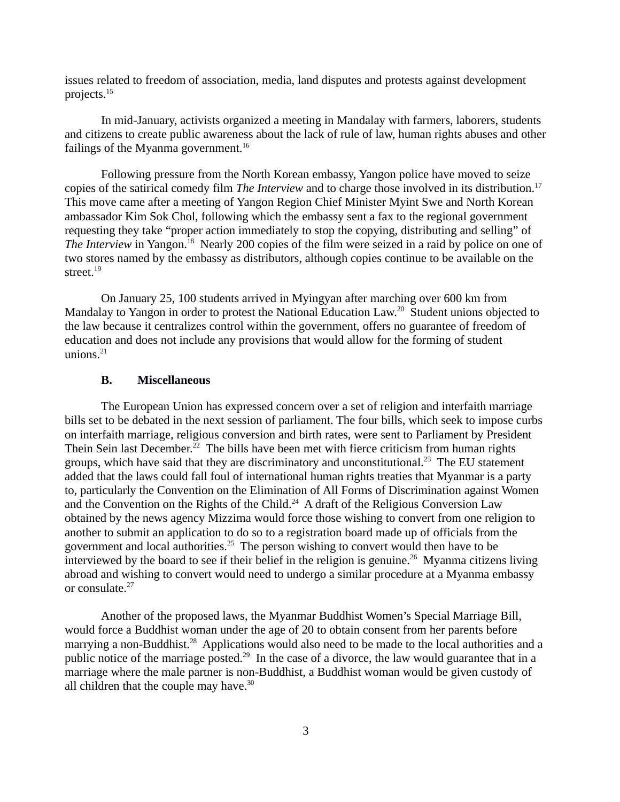issues related to freedom of association, media, land disputes and protests against development projects.<sup>15</sup>

In mid-January, activists organized a meeting in Mandalay with farmers, laborers, students and citizens to create public awareness about the lack of rule of law, human rights abuses and other failings of the Myanma government.<sup>16</sup>

Following pressure from the North Korean embassy, Yangon police have moved to seize copies of the satirical comedy film *The Interview* and to charge those involved in its distribution.<sup>17</sup> This move came after a meeting of Yangon Region Chief Minister Myint Swe and North Korean ambassador Kim Sok Chol, following which the embassy sent a fax to the regional government requesting they take "proper action immediately to stop the copying, distributing and selling" of *The Interview* in Yangon.<sup>18</sup> Nearly 200 copies of the film were seized in a raid by police on one of two stores named by the embassy as distributors, although copies continue to be available on the street.<sup>19</sup>

On January 25, 100 students arrived in Myingyan after marching over 600 km from Mandalay to Yangon in order to protest the National Education Law.<sup>20</sup> Student unions objected to the law because it centralizes control within the government, offers no guarantee of freedom of education and does not include any provisions that would allow for the forming of student unions. $21$ 

#### <span id="page-2-0"></span>**B. Miscellaneous**

The European Union has expressed concern over a set of religion and interfaith marriage bills set to be debated in the next session of parliament. The four bills, which seek to impose curbs on interfaith marriage, religious conversion and birth rates, were sent to Parliament by President Thein Sein last December.<sup>22</sup> The bills have been met with fierce criticism from human rights groups, which have said that they are discriminatory and unconstitutional.<sup>23</sup> The EU statement added that the laws could fall foul of international human rights treaties that Myanmar is a party to, particularly the Convention on the Elimination of All Forms of Discrimination against Women and the Convention on the Rights of the Child.<sup>24</sup> A draft of the Religious Conversion Law obtained by the news agency Mizzima would force those wishing to convert from one religion to another to submit an application to do so to a registration board made up of officials from the government and local authorities.<sup>25</sup> The person wishing to convert would then have to be interviewed by the board to see if their belief in the religion is genuine.<sup>26</sup> Myanma citizens living abroad and wishing to convert would need to undergo a similar procedure at a Myanma embassy or consulate.<sup>27</sup>

Another of the proposed laws, the Myanmar Buddhist Women's Special Marriage Bill, would force a Buddhist woman under the age of 20 to obtain consent from her parents before marrying a non-Buddhist.<sup>28</sup> Applications would also need to be made to the local authorities and a public notice of the marriage posted.<sup>29</sup> In the case of a divorce, the law would guarantee that in a marriage where the male partner is non-Buddhist, a Buddhist woman would be given custody of all children that the couple may have. $30$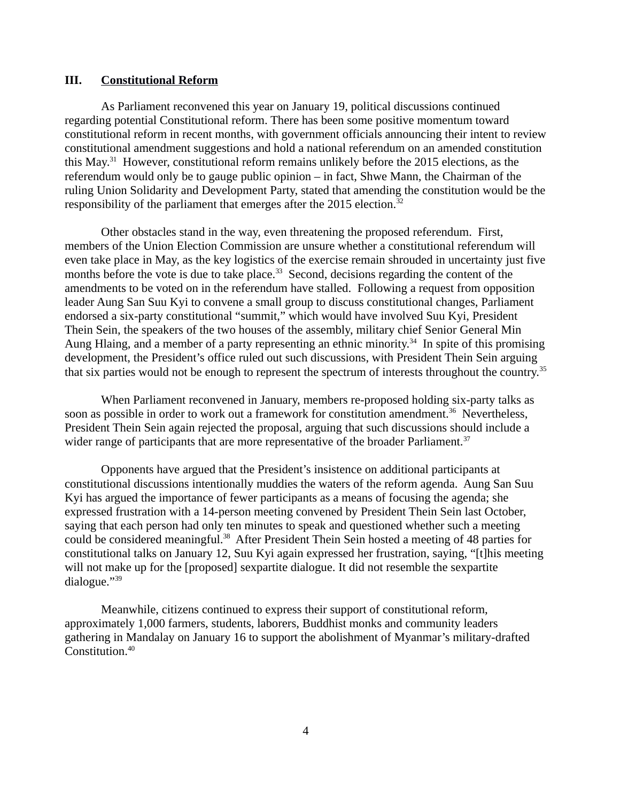### <span id="page-3-0"></span>**III. Constitutional Reform**

As Parliament reconvened this year on January 19, political discussions continued regarding potential Constitutional reform. There has been some positive momentum toward constitutional reform in recent months, with government officials announcing their intent to review constitutional amendment suggestions and hold a national referendum on an amended constitution this May.<sup>31</sup> However, constitutional reform remains unlikely before the 2015 elections, as the referendum would only be to gauge public opinion – in fact, Shwe Mann, the Chairman of the ruling Union Solidarity and Development Party, stated that amending the constitution would be the responsibility of the parliament that emerges after the 2015 election.<sup>32</sup>

Other obstacles stand in the way, even threatening the proposed referendum. First, members of the Union Election Commission are unsure whether a constitutional referendum will even take place in May, as the key logistics of the exercise remain shrouded in uncertainty just five months before the vote is due to take place. $33$  Second, decisions regarding the content of the amendments to be voted on in the referendum have stalled. Following a request from opposition leader Aung San Suu Kyi to convene a small group to discuss constitutional changes, Parliament endorsed a six-party constitutional "summit," which would have involved Suu Kyi, President Thein Sein, the speakers of the two houses of the assembly, military chief Senior General Min Aung Hlaing, and a member of a party representing an ethnic minority.<sup>34</sup> In spite of this promising development, the President's office ruled out such discussions, with President Thein Sein arguing that six parties would not be enough to represent the spectrum of interests throughout the country.<sup>35</sup>

When Parliament reconvened in January, members re-proposed holding six-party talks as soon as possible in order to work out a framework for constitution amendment.<sup>36</sup> Nevertheless, President Thein Sein again rejected the proposal, arguing that such discussions should include a wider range of participants that are more representative of the broader Parliament. $37$ 

Opponents have argued that the President's insistence on additional participants at constitutional discussions intentionally muddies the waters of the reform agenda. Aung San Suu Kyi has argued the importance of fewer participants as a means of focusing the agenda; she expressed frustration with a 14-person meeting convened by President Thein Sein last October, saying that each person had only ten minutes to speak and questioned whether such a meeting could be considered meaningful.<sup>38</sup> After President Thein Sein hosted a meeting of 48 parties for constitutional talks on January 12, Suu Kyi again expressed her frustration, saying, "[t]his meeting will not make up for the [proposed] sexpartite dialogue. It did not resemble the sexpartite dialogue."<sup>39</sup>

Meanwhile, citizens continued to express their support of constitutional reform, approximately 1,000 farmers, students, laborers, Buddhist monks and community leaders gathering in Mandalay on January 16 to support the abolishment of Myanmar's military-drafted Constitution.<sup>40</sup>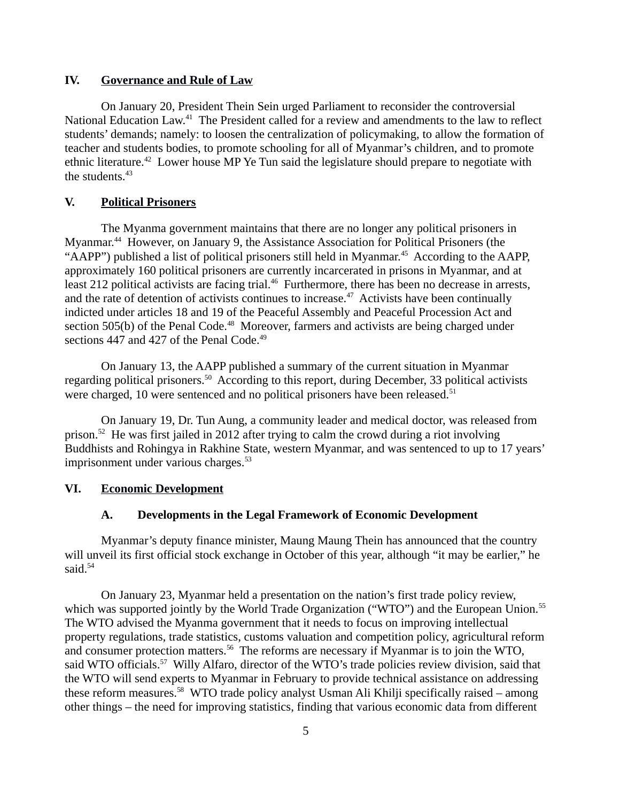### <span id="page-4-3"></span>**IV. Governance and Rule of Law**

On January 20, President Thein Sein urged Parliament to reconsider the controversial National Education Law.<sup>41</sup> The President called for a review and amendments to the law to reflect students' demands; namely: to loosen the centralization of policymaking, to allow the formation of teacher and students bodies, to promote schooling for all of Myanmar's children, and to promote ethnic literature.<sup>42</sup> Lower house MP Ye Tun said the legislature should prepare to negotiate with the students.<sup>43</sup>

# <span id="page-4-2"></span>**V. Political Prisoners**

The Myanma government maintains that there are no longer any political prisoners in Myanmar.<sup>44</sup> However, on January 9, the Assistance Association for Political Prisoners (the "AAPP") published a list of political prisoners still held in Myanmar.<sup>45</sup> According to the AAPP, approximately 160 political prisoners are currently incarcerated in prisons in Myanmar, and at least 212 political activists are facing trial.<sup>46</sup> Furthermore, there has been no decrease in arrests, and the rate of detention of activists continues to increase.<sup>47</sup> Activists have been continually indicted under articles 18 and 19 of the Peaceful Assembly and Peaceful Procession Act and section 505(b) of the Penal Code.<sup>48</sup> Moreover, farmers and activists are being charged under sections 447 and 427 of the Penal Code.<sup>49</sup>

On January 13, the AAPP published a summary of the current situation in Myanmar regarding political prisoners.<sup>50</sup> According to this report, during December, 33 political activists were charged, 10 were sentenced and no political prisoners have been released.<sup>51</sup>

On January 19, Dr. Tun Aung, a community leader and medical doctor, was released from prison.<sup>52</sup> He was first jailed in 2012 after trying to calm the crowd during a riot involving Buddhists and Rohingya in Rakhine State, western Myanmar, and was sentenced to up to 17 years' imprisonment under various charges.<sup>53</sup>

#### **VI. Economic Development**

### <span id="page-4-1"></span><span id="page-4-0"></span>**A. Developments in the Legal Framework of Economic Development**

Myanmar's deputy finance minister, Maung Maung Thein has announced that the country will unveil its first official stock exchange in October of this year, although "it may be earlier," he said.<sup>54</sup>

On January 23, Myanmar held a presentation on the nation's first trade policy review, which was supported jointly by the World Trade Organization ("WTO") and the European Union.<sup>55</sup> The WTO advised the Myanma government that it needs to focus on improving intellectual property regulations, trade statistics, customs valuation and competition policy, agricultural reform and consumer protection matters.<sup>56</sup> The reforms are necessary if Myanmar is to join the WTO, said WTO officials.<sup>57</sup> Willy Alfaro, director of the WTO's trade policies review division, said that the WTO will send experts to Myanmar in February to provide technical assistance on addressing these reform measures.<sup>58</sup> WTO trade policy analyst Usman Ali Khilji specifically raised – among other things – the need for improving statistics, finding that various economic data from different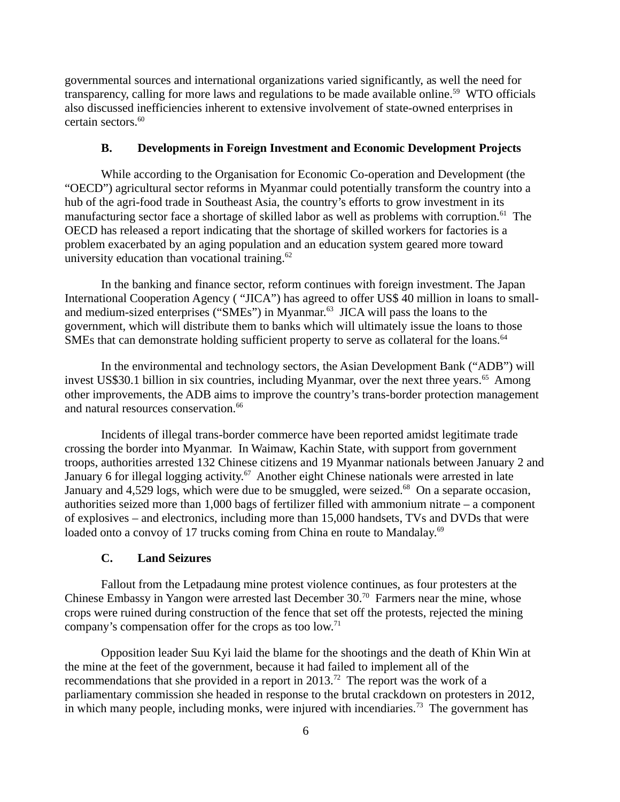governmental sources and international organizations varied significantly, as well the need for transparency, calling for more laws and regulations to be made available online.<sup>59</sup> WTO officials also discussed inefficiencies inherent to extensive involvement of state-owned enterprises in certain sectors. $^{60}$ 

#### <span id="page-5-1"></span>**B. Developments in Foreign Investment and Economic Development Projects**

While according to the Organisation for Economic Co-operation and Development (the "OECD") agricultural sector reforms in Myanmar could potentially transform the country into a hub of the agri-food trade in Southeast Asia, the country's efforts to grow investment in its manufacturing sector face a shortage of skilled labor as well as problems with corruption.<sup>61</sup> The OECD has released a report indicating that the shortage of skilled workers for factories is a problem exacerbated by an aging population and an education system geared more toward university education than vocational training. $62$ 

In the banking and finance sector, reform continues with foreign investment. The Japan International Cooperation Agency ( "JICA") has agreed to offer US\$ 40 million in loans to smalland medium-sized enterprises ("SMEs") in Myanmar.<sup>63</sup> JICA will pass the loans to the government, which will distribute them to banks which will ultimately issue the loans to those SMEs that can demonstrate holding sufficient property to serve as collateral for the loans.<sup>64</sup>

In the environmental and technology sectors, the Asian Development Bank ("ADB") will invest US\$30.1 billion in six countries, including Myanmar, over the next three years. $65$  Among other improvements, the ADB aims to improve the country's trans-border protection management and natural resources conservation.<sup>66</sup>

Incidents of illegal trans-border commerce have been reported amidst legitimate trade crossing the border into Myanmar. In Waimaw, Kachin State, with support from government troops, authorities arrested 132 Chinese citizens and 19 Myanmar nationals between January 2 and January 6 for illegal logging activity.<sup>67</sup> Another eight Chinese nationals were arrested in late January and 4,529 logs, which were due to be smuggled, were seized.<sup>68</sup> On a separate occasion, authorities seized more than 1,000 bags of fertilizer filled with ammonium nitrate – a component of explosives – and electronics, including more than 15,000 handsets, TVs and DVDs that were loaded onto a convoy of 17 trucks coming from China en route to Mandalay.<sup>69</sup>

### <span id="page-5-0"></span>**C. Land Seizures**

Fallout from the Letpadaung mine protest violence continues, as four protesters at the Chinese Embassy in Yangon were arrested last December 30.<sup>70</sup> Farmers near the mine, whose crops were ruined during construction of the fence that set off the protests, rejected the mining company's compensation offer for the crops as too low.<sup>71</sup>

Opposition leader Suu Kyi laid the blame for the shootings and the death of Khin Win at the mine at the feet of the government, because it had failed to implement all of the recommendations that she provided in a report in 2013.<sup>72</sup> The report was the work of a parliamentary commission she headed in response to the brutal crackdown on protesters in 2012, in which many people, including monks, were injured with incendiaries.<sup>73</sup> The government has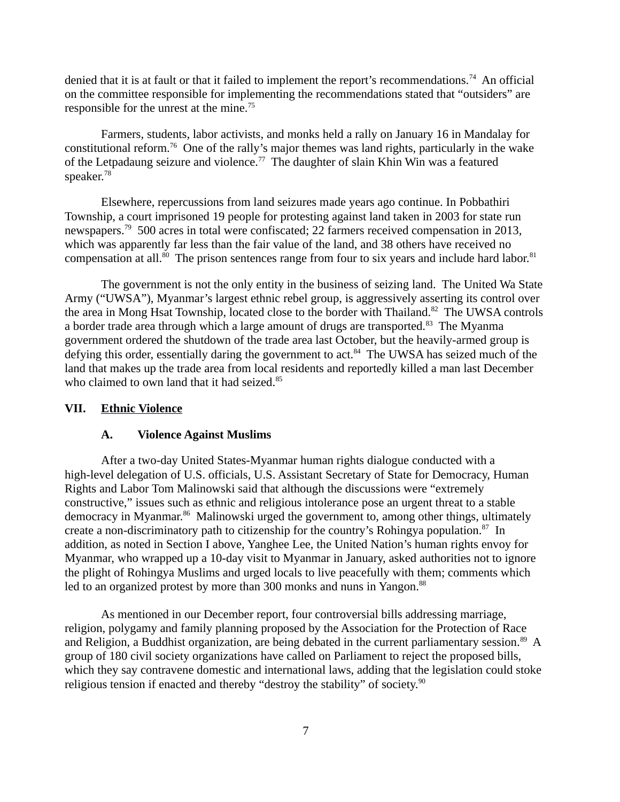denied that it is at fault or that it failed to implement the report's recommendations.<sup>74</sup> An official on the committee responsible for implementing the recommendations stated that "outsiders" are responsible for the unrest at the mine.<sup>75</sup>

Farmers, students, labor activists, and monks held a rally on January 16 in Mandalay for constitutional reform.<sup>76</sup> One of the rally's major themes was land rights, particularly in the wake of the Letpadaung seizure and violence.<sup>77</sup> The daughter of slain Khin Win was a featured speaker.<sup>78</sup>

Elsewhere, repercussions from land seizures made years ago continue. In Pobbathiri Township, a court imprisoned 19 people for protesting against land taken in 2003 for state run newspapers.<sup>79</sup> 500 acres in total were confiscated; 22 farmers received compensation in 2013, which was apparently far less than the fair value of the land, and 38 others have received no compensation at all. $^{80}$  The prison sentences range from four to six years and include hard labor.<sup>81</sup>

The government is not the only entity in the business of seizing land. The United Wa State Army ("UWSA"), Myanmar's largest ethnic rebel group, is aggressively asserting its control over the area in Mong Hsat Township, located close to the border with Thailand.<sup>82</sup> The UWSA controls a border trade area through which a large amount of drugs are transported.<sup>83</sup> The Myanma government ordered the shutdown of the trade area last October, but the heavily-armed group is defying this order, essentially daring the government to act.<sup>84</sup> The UWSA has seized much of the land that makes up the trade area from local residents and reportedly killed a man last December who claimed to own land that it had seized.<sup>85</sup>

#### **VII. Ethnic Violence**

### <span id="page-6-1"></span><span id="page-6-0"></span>**A. Violence Against Muslims**

After a two-day United States-Myanmar human rights dialogue conducted with a high-level delegation of U.S. officials, U.S. Assistant Secretary of State for Democracy, Human Rights and Labor Tom Malinowski said that although the discussions were "extremely constructive," issues such as ethnic and religious intolerance pose an urgent threat to a stable democracy in Myanmar.<sup>86</sup> Malinowski urged the government to, among other things, ultimately create a non-discriminatory path to citizenship for the country's Rohingya population.<sup>87</sup> In addition, as noted in Section I above, Yanghee Lee, the United Nation's human rights envoy for Myanmar, who wrapped up a 10-day visit to Myanmar in January, asked authorities not to ignore the plight of Rohingya Muslims and urged locals to live peacefully with them; comments which led to an organized protest by more than 300 monks and nuns in Yangon. $88$ 

As mentioned in our December report, four controversial bills addressing marriage, religion, polygamy and family planning proposed by the Association for the Protection of Race and Religion, a Buddhist organization, are being debated in the current parliamentary session.<sup>89</sup> A group of 180 civil society organizations have called on Parliament to reject the proposed bills, which they say contravene domestic and international laws, adding that the legislation could stoke religious tension if enacted and thereby "destroy the stability" of society.<sup>90</sup>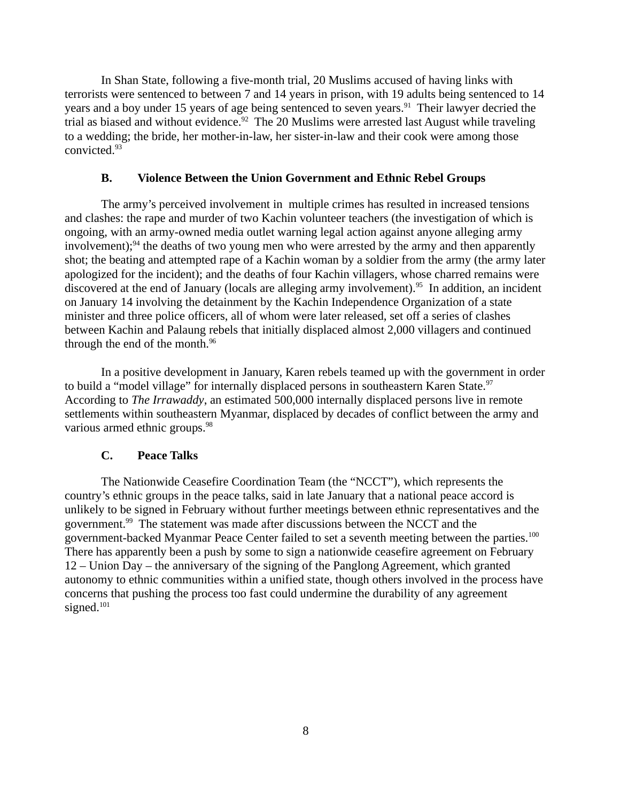In Shan State, following a five-month trial, 20 Muslims accused of having links with terrorists were sentenced to between 7 and 14 years in prison, with 19 adults being sentenced to 14 years and a boy under 15 years of age being sentenced to seven years.<sup>91</sup> Their lawyer decried the trial as biased and without evidence.<sup>92</sup> The 20 Muslims were arrested last August while traveling to a wedding; the bride, her mother-in-law, her sister-in-law and their cook were among those convicted.<sup>93</sup>

### <span id="page-7-1"></span>**B. Violence Between the Union Government and Ethnic Rebel Groups**

The army's perceived involvement in multiple crimes has resulted in increased tensions and clashes: the rape and murder of two Kachin volunteer teachers (the investigation of which is ongoing, with an army-owned media outlet warning legal action against anyone alleging army  $involvement$ ;<sup>94</sup> the deaths of two young men who were arrested by the army and then apparently shot; the beating and attempted rape of a Kachin woman by a soldier from the army (the army later apologized for the incident); and the deaths of four Kachin villagers, whose charred remains were discovered at the end of January (locals are alleging army involvement).<sup>95</sup> In addition, an incident on January 14 involving the detainment by the Kachin Independence Organization of a state minister and three police officers, all of whom were later released, set off a series of clashes between Kachin and Palaung rebels that initially displaced almost 2,000 villagers and continued through the end of the month.<sup>96</sup>

In a positive development in January, Karen rebels teamed up with the government in order to build a "model village" for internally displaced persons in southeastern Karen State. $97$ According to *The Irrawaddy*, an estimated 500,000 internally displaced persons live in remote settlements within southeastern Myanmar, displaced by decades of conflict between the army and various armed ethnic groups.<sup>98</sup>

#### <span id="page-7-0"></span>**C. Peace Talks**

The Nationwide Ceasefire Coordination Team (the "NCCT"), which represents the country's ethnic groups in the peace talks, said in late January that a national peace accord is unlikely to be signed in February without further meetings between ethnic representatives and the government.<sup>99</sup> The statement was made after discussions between the NCCT and the government-backed Myanmar Peace Center failed to set a seventh meeting between the parties.<sup>100</sup> There has apparently been a push by some to sign a nationwide ceasefire agreement on February 12 – Union Day – the anniversary of the signing of the Panglong Agreement, which granted autonomy to ethnic communities within a unified state, though others involved in the process have concerns that pushing the process too fast could undermine the durability of any agreement signed.<sup>101</sup>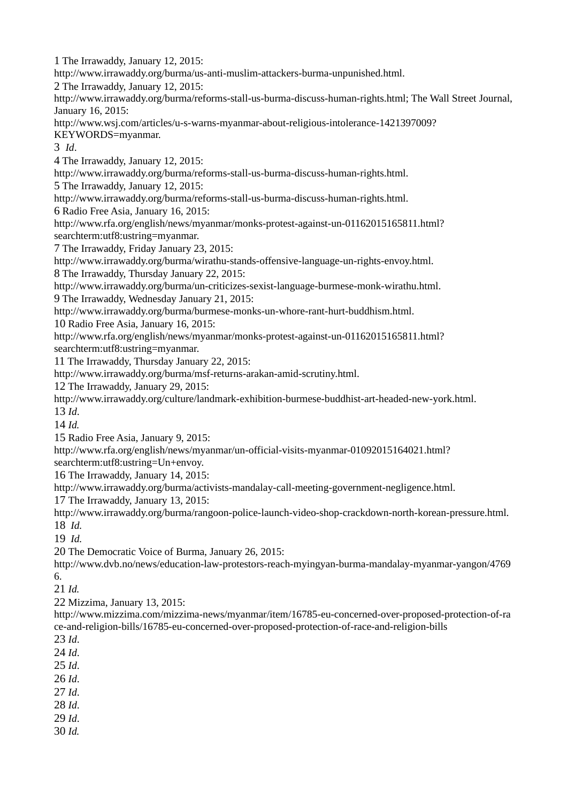1 The Irrawaddy, January 12, 2015: http://www.irrawaddy.org/burma/us-anti-muslim-attackers-burma-unpunished.html. 2 The Irrawaddy, January 12, 2015: http://www.irrawaddy.org/burma/reforms-stall-us-burma-discuss-human-rights.html; The Wall Street Journal, January 16, 2015: http://www.wsj.com/articles/u-s-warns-myanmar-about-religious-intolerance-1421397009? KEYWORDS=myanmar. 3 *Id*. 4 The Irrawaddy, January 12, 2015: http://www.irrawaddy.org/burma/reforms-stall-us-burma-discuss-human-rights.html. 5 The Irrawaddy, January 12, 2015: http://www.irrawaddy.org/burma/reforms-stall-us-burma-discuss-human-rights.html. 6 Radio Free Asia, January 16, 2015: http://www.rfa.org/english/news/myanmar/monks-protest-against-un-01162015165811.html? searchterm:utf8:ustring=myanmar. 7 The Irrawaddy, Friday January 23, 2015: http://www.irrawaddy.org/burma/wirathu-stands-offensive-language-un-rights-envoy.html. 8 The Irrawaddy, Thursday January 22, 2015: http://www.irrawaddy.org/burma/un-criticizes-sexist-language-burmese-monk-wirathu.html. 9 The Irrawaddy, Wednesday January 21, 2015: http://www.irrawaddy.org/burma/burmese-monks-un-whore-rant-hurt-buddhism.html. 10 Radio Free Asia, January 16, 2015: http://www.rfa.org/english/news/myanmar/monks-protest-against-un-01162015165811.html? searchterm:utf8:ustring=myanmar. 11 The Irrawaddy, Thursday January 22, 2015: http://www.irrawaddy.org/burma/msf-returns-arakan-amid-scrutiny.html. 12 The Irrawaddy, January 29, 2015: http://www.irrawaddy.org/culture/landmark-exhibition-burmese-buddhist-art-headed-new-york.html. 13 *Id*. 14 *Id.* 15 Radio Free Asia, January 9, 2015: http://www.rfa.org/english/news/myanmar/un-official-visits-myanmar-01092015164021.html? searchterm:utf8:ustring=Un+envoy. 16 The Irrawaddy, January 14, 2015: http://www.irrawaddy.org/burma/activists-mandalay-call-meeting-government-negligence.html. 17 The Irrawaddy, January 13, 2015: http://www.irrawaddy.org/burma/rangoon-police-launch-video-shop-crackdown-north-korean-pressure.html. 18 *Id.* 

19 *Id.* 

20 The Democratic Voice of Burma, January 26, 2015:

http://www.dvb.no/news/education-law-protestors-reach-myingyan-burma-mandalay-myanmar-yangon/4769 6.

21 *Id.* 

22 Mizzima, January 13, 2015:

http://www.mizzima.com/mizzima-news/myanmar/item/16785-eu-concerned-over-proposed-protection-of-ra ce-and-religion-bills/16785-eu-concerned-over-proposed-protection-of-race-and-religion-bills

23 *Id*.

24 *Id*.

25 *Id*.

26 *Id*.

27 *Id*.

28 *Id*.

29 *Id*.

30 *Id.*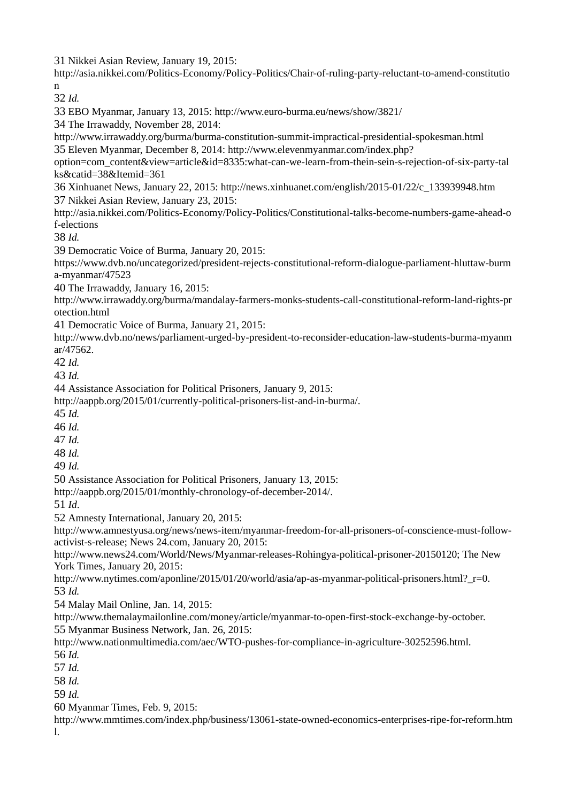31 Nikkei Asian Review, January 19, 2015:

http://asia.nikkei.com/Politics-Economy/Policy-Politics/Chair-of-ruling-party-reluctant-to-amend-constitutio n

32 *Id.*

33 EBO Myanmar, January 13, 2015: http://www.euro-burma.eu/news/show/3821/

34 The Irrawaddy, November 28, 2014:

http://www.irrawaddy.org/burma/burma-constitution-summit-impractical-presidential-spokesman.html 35 Eleven Myanmar, December 8, 2014: http://www.elevenmyanmar.com/index.php?

option=com\_content&view=article&id=8335:what-can-we-learn-from-thein-sein-s-rejection-of-six-party-tal ks&catid=38&Itemid=361

36 Xinhuanet News, January 22, 2015: http://news.xinhuanet.com/english/2015-01/22/c\_133939948.htm 37 Nikkei Asian Review, January 23, 2015:

http://asia.nikkei.com/Politics-Economy/Policy-Politics/Constitutional-talks-become-numbers-game-ahead-o f-elections

38 *Id.*

39 Democratic Voice of Burma, January 20, 2015:

https://www.dvb.no/uncategorized/president-rejects-constitutional-reform-dialogue-parliament-hluttaw-burm a-myanmar/47523

40 The Irrawaddy, January 16, 2015:

http://www.irrawaddy.org/burma/mandalay-farmers-monks-students-call-constitutional-reform-land-rights-pr otection.html

41 Democratic Voice of Burma, January 21, 2015:

http://www.dvb.no/news/parliament-urged-by-president-to-reconsider-education-law-students-burma-myanm ar/47562.

42 *Id.* 

43 *Id.* 

44 Assistance Association for Political Prisoners, January 9, 2015:

http://aappb.org/2015/01/currently-political-prisoners-list-and-in-burma/.

45 *Id.* 

46 *Id.* 

- 47 *Id.*
- 48 *Id.*

49 *Id.*

50 Assistance Association for Political Prisoners, January 13, 2015:

http://aappb.org/2015/01/monthly-chronology-of-december-2014/.

51 *Id*.

52 Amnesty International, January 20, 2015:

http://www.amnestyusa.org/news/news-item/myanmar-freedom-for-all-prisoners-of-conscience-must-followactivist-s-release; News 24.com, January 20, 2015:

http://www.news24.com/World/News/Myanmar-releases-Rohingya-political-prisoner-20150120; The New York Times, January 20, 2015:

http://www.nytimes.com/aponline/2015/01/20/world/asia/ap-as-myanmar-political-prisoners.html? r=0. 53 *Id.* 

54 Malay Mail Online, Jan. 14, 2015:

http://www.themalaymailonline.com/money/article/myanmar-to-open-first-stock-exchange-by-october. 55 Myanmar Business Network, Jan. 26, 2015:

http://www.nationmultimedia.com/aec/WTO-pushes-for-compliance-in-agriculture-30252596.html.

56 *Id.*

57 *Id.*

58 *Id.*

59 *Id.*

60 Myanmar Times, Feb. 9, 2015:

http://www.mmtimes.com/index.php/business/13061-state-owned-economics-enterprises-ripe-for-reform.htm l.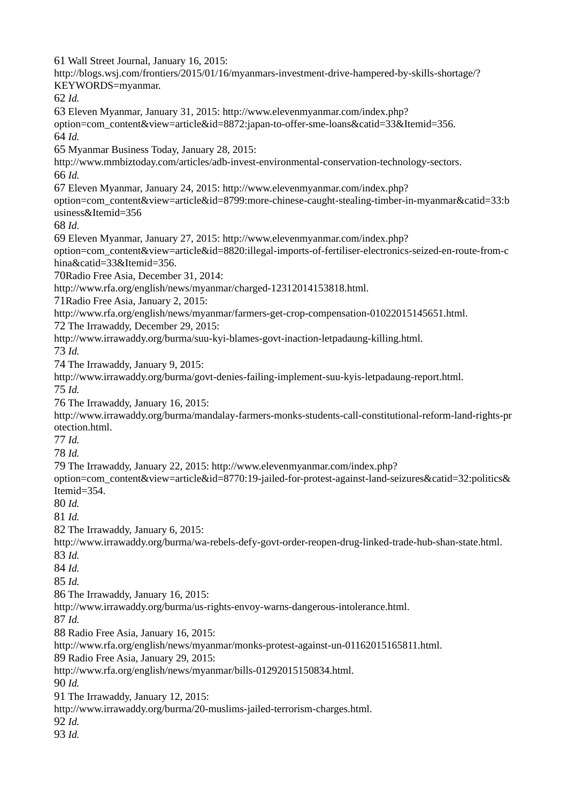Wall Street Journal, January 16, 2015: http://blogs.wsj.com/frontiers/2015/01/16/myanmars-investment-drive-hampered-by-skills-shortage/? KEYWORDS=myanmar. *Id.* Eleven Myanmar, January 31, 2015: http://www.elevenmyanmar.com/index.php? option=com\_content&view=article&id=8872:japan-to-offer-sme-loans&catid=33&Itemid=356. *Id.* Myanmar Business Today, January 28, 2015: http://www.mmbiztoday.com/articles/adb-invest-environmental-conservation-technology-sectors. *Id.* Eleven Myanmar, January 24, 2015: http://www.elevenmyanmar.com/index.php? option=com\_content&view=article&id=8799:more-chinese-caught-stealing-timber-in-myanmar&catid=33:b usiness&Itemid=356  *Id.* Eleven Myanmar, January 27, 2015: http://www.elevenmyanmar.com/index.php? option=com\_content&view=article&id=8820:illegal-imports-of-fertiliser-electronics-seized-en-route-from-c hina&catid=33&Itemid=356*.* Radio Free Asia, December 31, 2014: http://www.rfa.org/english/news/myanmar/charged-12312014153818.html. Radio Free Asia, January 2, 2015: http://www.rfa.org/english/news/myanmar/farmers-get-crop-compensation-01022015145651.html. The Irrawaddy, December 29, 2015: http://www.irrawaddy.org/burma/suu-kyi-blames-govt-inaction-letpadaung-killing.html. *Id.* The Irrawaddy, January 9, 2015: http://www.irrawaddy.org/burma/govt-denies-failing-implement-suu-kyis-letpadaung-report.html. *Id.* The Irrawaddy, January 16, 2015: http://www.irrawaddy.org/burma/mandalay-farmers-monks-students-call-constitutional-reform-land-rights-pr otection.html. *Id. Id.* The Irrawaddy, January 22, 2015: http://www.elevenmyanmar.com/index.php? option=com\_content&view=article&id=8770:19-jailed-for-protest-against-land-seizures&catid=32:politics& Itemid=354. *Id. Id.* The Irrawaddy, January 6, 2015: http://www.irrawaddy.org/burma/wa-rebels-defy-govt-order-reopen-drug-linked-trade-hub-shan-state.html. *Id. Id. Id.* The Irrawaddy, January 16, 2015: http://www.irrawaddy.org/burma/us-rights-envoy-warns-dangerous-intolerance.html. *Id.* Radio Free Asia, January 16, 2015: http://www.rfa.org/english/news/myanmar/monks-protest-against-un-01162015165811.html. Radio Free Asia, January 29, 2015: http://www.rfa.org/english/news/myanmar/bills-01292015150834.html. *Id.* The Irrawaddy, January 12, 2015: http://www.irrawaddy.org/burma/20-muslims-jailed-terrorism-charges.html. *Id. Id.*